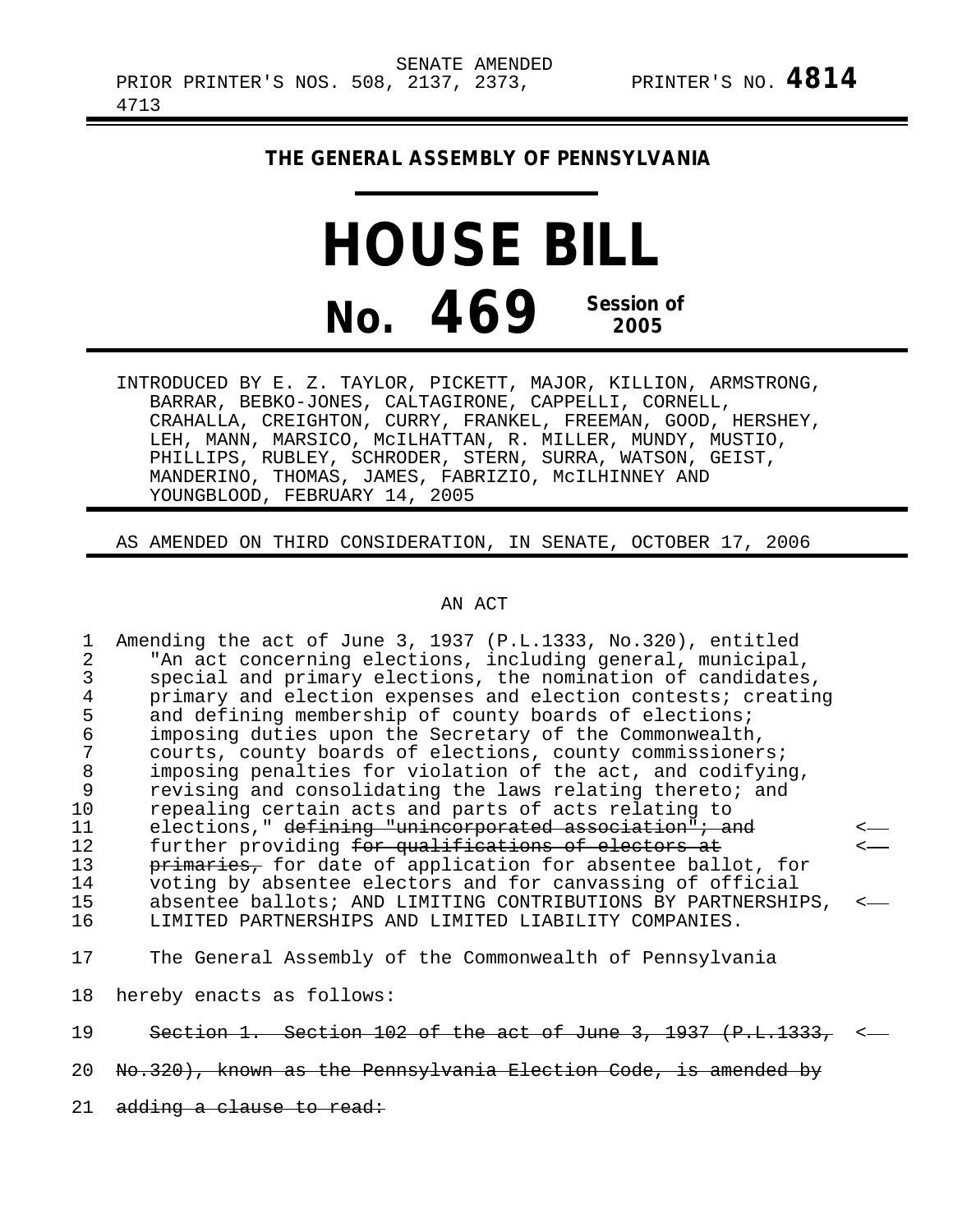## **THE GENERAL ASSEMBLY OF PENNSYLVANIA**

## **HOUSE BILL No. 469 Session of 2005**

INTRODUCED BY E. Z. TAYLOR, PICKETT, MAJOR, KILLION, ARMSTRONG, BARRAR, BEBKO-JONES, CALTAGIRONE, CAPPELLI, CORNELL, CRAHALLA, CREIGHTON, CURRY, FRANKEL, FREEMAN, GOOD, HERSHEY, LEH, MANN, MARSICO, McILHATTAN, R. MILLER, MUNDY, MUSTIO, PHILLIPS, RUBLEY, SCHRODER, STERN, SURRA, WATSON, GEIST, MANDERINO, THOMAS, JAMES, FABRIZIO, McILHINNEY AND YOUNGBLOOD, FEBRUARY 14, 2005

AS AMENDED ON THIRD CONSIDERATION, IN SENATE, OCTOBER 17, 2006

## AN ACT

1 Amending the act of June 3, 1937 (P.L.1333, No.320), entitled<br>2 TAn act concerning elections, including general, municipal 2 The act concerning elections, including general, municipal,<br>3 Special and primary elections, the nomination of candidates 3 special and primary elections, the nomination of candidates,<br>4 orimary and election expenses and election contests; creating 4 primary and election expenses and election contests; creating<br>5 and defining membership of county boards of elections; 5 and defining membership of county boards of elections;<br>6 imposing duties upon the Secretary of the Commonwealth 6 imposing duties upon the Secretary of the Commonwealth, 7 courts, county boards of elections, county commissioners;<br>8 imposing penalties for violation of the act, and codifyin 8 imposing penalties for violation of the act, and codifying,<br>9 revising and consolidating the laws relating thereto; and 9 revising and consolidating the laws relating thereto; and<br>10 repealing certain acts and parts of acts relating to 10 repealing certain acts and parts of acts relating to<br>11 elections." <del>defining "unincorporated association"; a</del> 11 elections," defining "unincorporated association"; and<br>12 further providing <del>for qualifications of electors at</del> 12 further providing for qualifications of electors at 13 primaries, for date of application for absentee ball 13 primaries, for date of application for absentee ballot, for<br>14 voting by absentee electors and for canvassing of official 14 voting by absentee electors and for canvassing of official 15 absentee ballots; AND LIMITING CONTRIBUTIONS BY PARTNERSHIPS,<br>16 1.JMITED PARTNERSHIPS AND LIMITED LIABILITY COMPANIES. LIMITED PARTNERSHIPS AND LIMITED LIABILITY COMPANIES. 17 The General Assembly of the Commonwealth of Pennsylvania

18 hereby enacts as follows:

19 Section 1. Section 102 of the act of June 3, 1937 (P.L.1333,

20 No.320), known as the Pennsylvania Election Code, is amended by

21 adding a clause to read: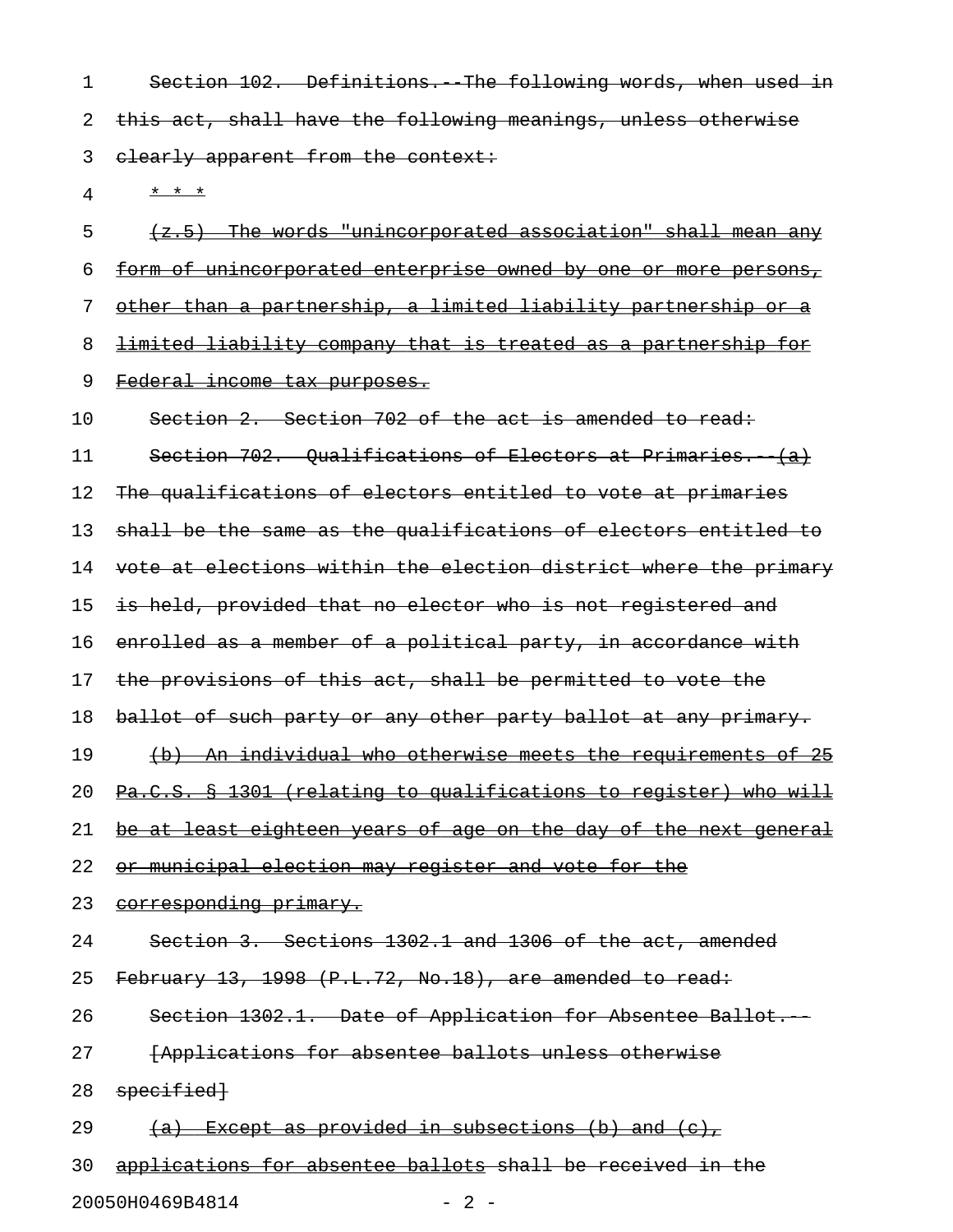1 Section 102. Definitions. The following words, when used in 2 this act, shall have the following meanings, unless otherwise 3 elearly apparent from the context:

4 \* \* \* \*

 $5$  (z.5) The words "unincorporated association" shall mean any 6 form of unincorporated enterprise owned by one or more persons, 7 other than a partnership, a limited liability partnership or a 8 limited liability company that is treated as a partnership for 9 Federal income tax purposes. 10 Section 2. Section 702 of the act is amended to read: 11 Section 702. Qualifications of Electors at Primaries. (a) 12 The qualifications of electors entitled to vote at primaries 13 shall be the same as the qualifications of electors entitled to 14 vote at elections within the election district where the primary 15 is held, provided that no elector who is not registered and 16 enrolled as a member of a political party, in accordance with 17 the provisions of this act, shall be permitted to vote the 18 ballot of such party or any other party ballot at any primary. 19 (b) An individual who otherwise meets the requirements of 25 20 Pa.C.S. § 1301 (relating to qualifications to register) who will 21 be at least eighteen years of age on the day of the next general 22 or municipal election may register and vote for the 23 corresponding primary. 24 Section 3. Sections 1302.1 and 1306 of the act, amended 25 February 13, 1998 (P.L.72, No.18), are amended to read: 26 Section 1302.1. Date of Application for Absentee Ballot. 27 **[Applications for absentee ballots unless otherwise** 

- 28 specified
- 29  $(a)$  Except as provided in subsections (b) and (c),

30 applications for absentee ballots shall be received in the 20050H0469B4814 - 2 -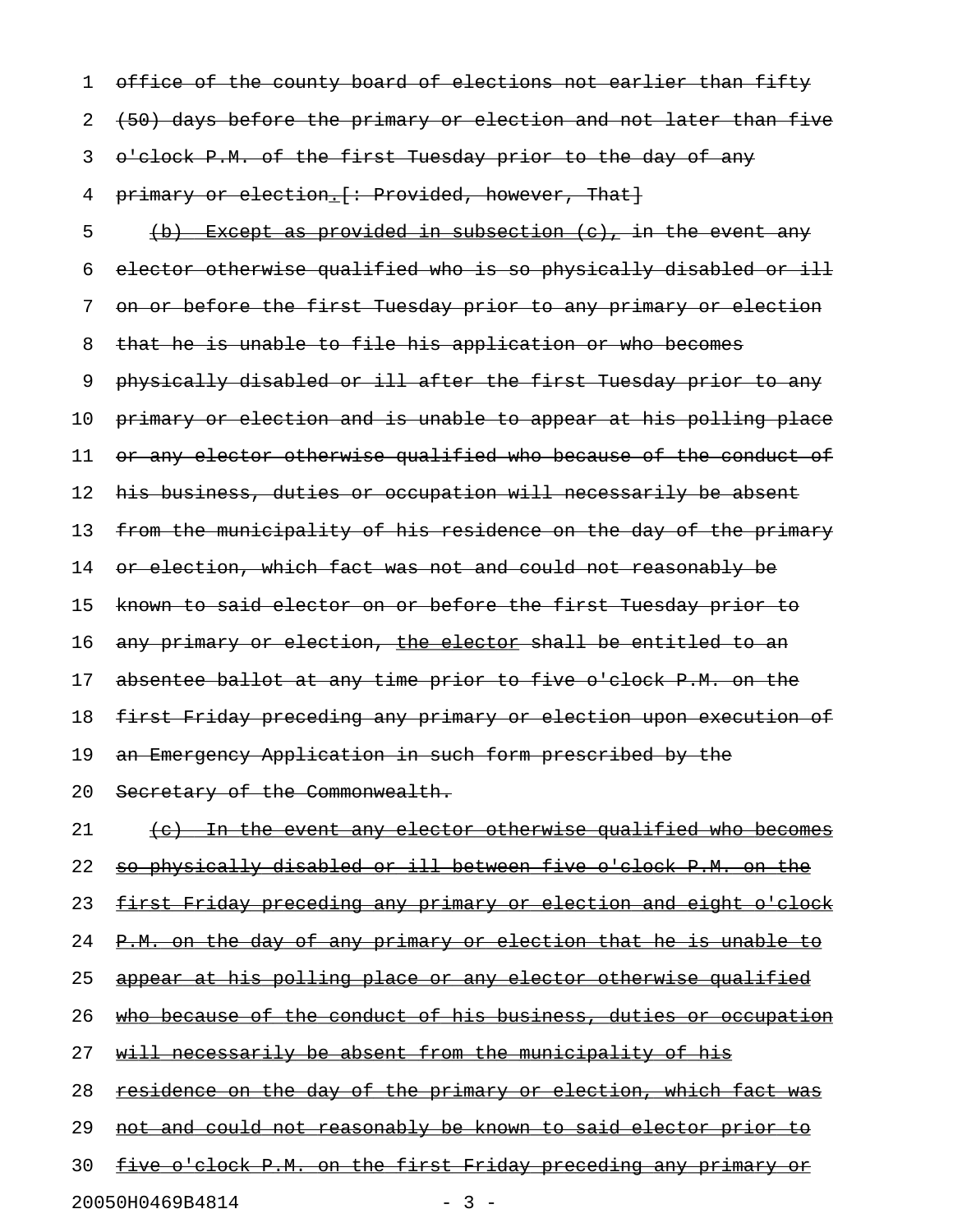1 office of the county board of elections not earlier than fifty 2 (50) days before the primary or election and not later than five 3 o'clock P.M. of the first Tuesday prior to the day of any 4 primary or election. [: Provided, however, That] 5 (b) Except as provided in subsection  $(e)$ , in the event any 6 elector otherwise qualified who is so physically disabled or ill 7 on or before the first Tuesday prior to any primary or election 8 that he is unable to file his application or who becomes 9 physically disabled or ill after the first Tuesday prior to any 10 primary or election and is unable to appear at his polling place 11 or any elector otherwise qualified who because of the conduct of 12 his business, duties or occupation will necessarily be absent 13 from the municipality of his residence on the day of the primary 14 or election, which fact was not and could not reasonably be 15 known to said elector on or before the first Tuesday prior to 16 any primary or election, the elector shall be entitled to an 17 absentee ballot at any time prior to five o'clock P.M. on the 18 first Friday preceding any primary or election upon execution of 19 an Emergency Application in such form prescribed by the 20 Secretary of the Commonwealth. 21 (c) In the event any elector otherwise qualified who becomes 22 so physically disabled or ill between five o'clock P.M. on the 23 first Friday preceding any primary or election and eight o'clock 24 P.M. on the day of any primary or election that he is unable to 25 appear at his polling place or any elector otherwise qualified 26 who because of the conduct of his business, duties or occupation 27 will necessarily be absent from the municipality of his 28 residence on the day of the primary or election, which fact was 29 not and could not reasonably be known to said elector prior to 30 five o'clock P.M. on the first Friday preceding any primary or

20050H0469B4814 - 3 -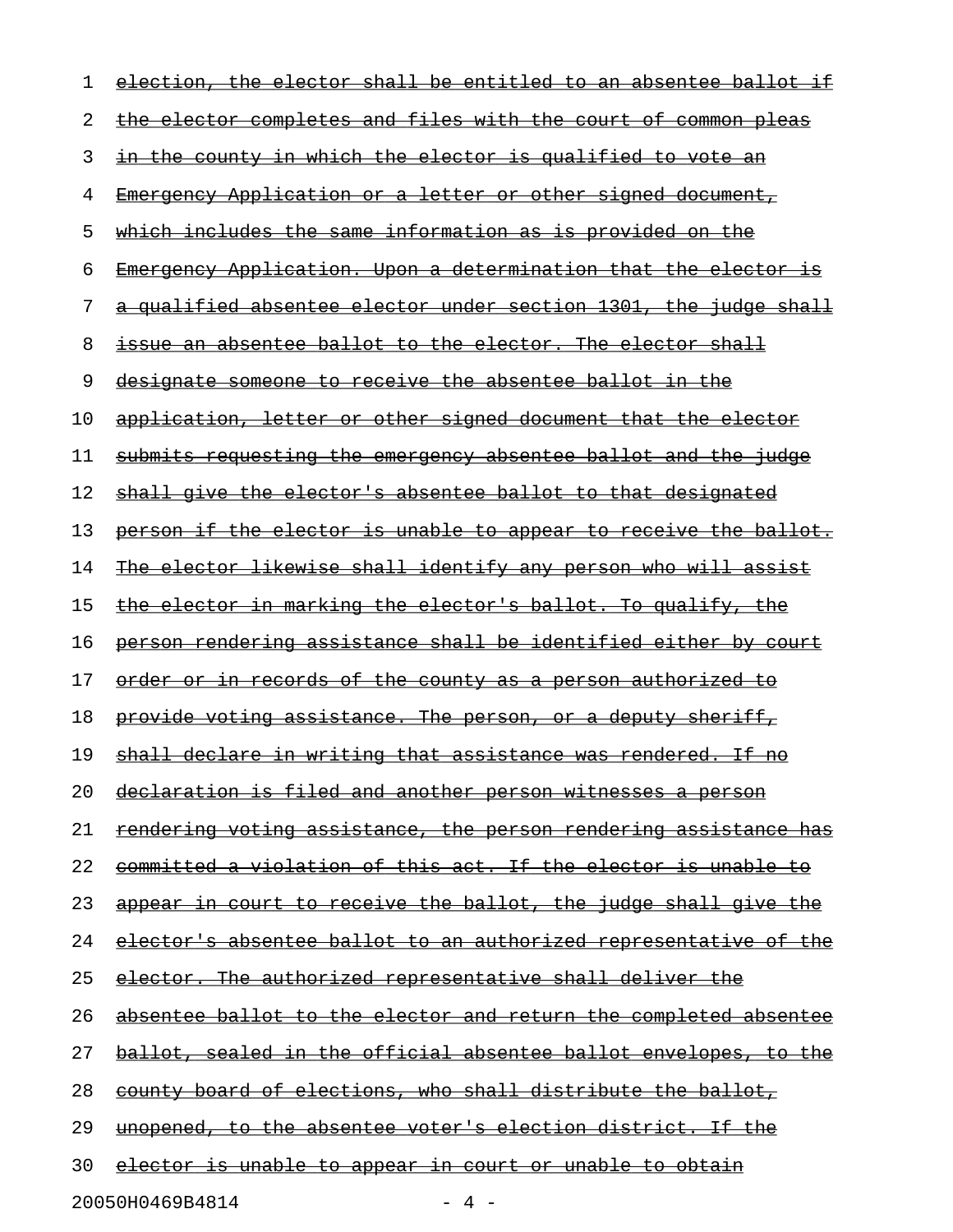| 1  | election, the elector shall be entitled to an absentee ballot if        |
|----|-------------------------------------------------------------------------|
| 2  | the elector completes and files with the court of common pleas          |
| 3  | in the county in which the elector is qualified to vote an              |
| 4  | <u> Emergency Application or a letter or other signed document, </u>    |
| 5  | <u>which includes the same information as is provided on the </u>       |
| 6  | Emergency Application. Upon a determination that the elector is         |
| 7  | a qualified absentee elector under section 1301, the judge shall        |
| 8  | issue an absentee ballot to the elector. The elector shall              |
| 9  | designate someone to receive the absentee ballot in the                 |
| 10 | application, letter or other signed document that the elector           |
| 11 | submits requesting the emergency absentee ballot and the judge          |
| 12 | shall give the elector's absentee ballot to that designated             |
| 13 | person if the elector is unable to appear to receive the ballot.        |
| 14 | The elector likewise shall identify any person who will assist          |
| 15 | <u>the elector in marking the elector's ballot. To qualify, the </u>    |
| 16 | person rendering assistance shall be identified either by court         |
| 17 | <u>order or in records of the county as a person authorized to</u>      |
| 18 | provide voting assistance. The person, or a deputy sheriff,             |
| 19 | shall declare in writing that assistance was rendered. If no            |
| 20 | declaration is filed and another person witnesses a person              |
| 21 | <u>rendering voting assistance, the person rendering assistance has</u> |
| 22 | committed a violation of this act. If the elector is unable to          |
| 23 | appear in court to receive the ballot, the judge shall give the         |
| 24 | elector's absentee ballot to an authorized representative of the        |
| 25 | <u>elector. The authorized representative shall deliver the</u>         |
| 26 | absentee ballot to the elector and return the completed absentee        |
| 27 | ballot, sealed in the official absentee ballot envelopes, to the        |
| 28 | county board of elections, who shall distribute the ballot,             |
| 29 | <u>unopened, to the absentee voter's election district. If the </u>     |
| 30 | <u>elector is unable to appear in court or unable to obtain</u>         |
|    | 20050H0469B4814<br>$-4 -$                                               |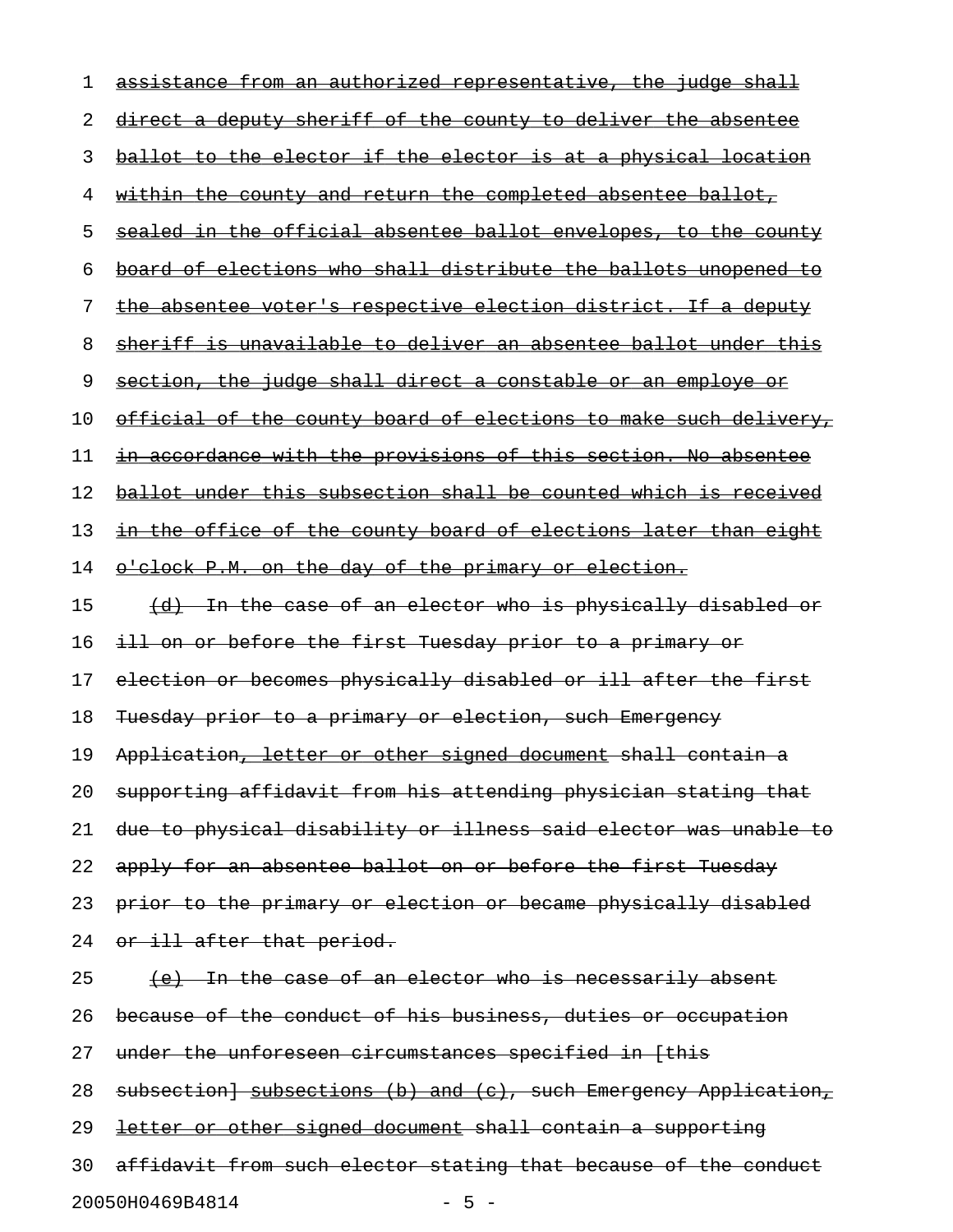| 1  | assistance from an authorized representative, the judge shall           |
|----|-------------------------------------------------------------------------|
| 2  | direct a deputy sheriff of the county to deliver the absentee           |
| 3  | ballot to the elector if the elector is at a physical location          |
| 4  | <u>within the county and return the completed absentee ballot, </u>     |
| 5  | sealed in the official absentee ballot envelopes, to the county         |
| 6  | board of elections who shall distribute the ballots unopened to         |
| 7  | the absentee voter's respective election district. If a deputy          |
| 8  | sheriff is unavailable to deliver an absentee ballot under this         |
| 9  | section, the judge shall direct a constable or an employe or            |
| 10 | <u>official of the county board of elections to make such delivery,</u> |
| 11 | in accordance with the provisions of this section. No absentee          |
| 12 | ballot under this subsection shall be counted which is received         |
| 13 | <u>in the office of the county board of elections later than eight</u>  |
| 14 | o'clock P.M. on the day of the primary or election.                     |
| 15 | (d) In the case of an elector who is physically disabled or             |
| 16 | ill on or before the first Tuesday prior to a primary or                |
| 17 | election or becomes physically disabled or ill after the first          |
| 18 | Tuesday prior to a primary or election, such Emergency                  |
| 19 | Application, letter or other signed document shall contain a            |
| 20 | supporting affidavit from his attending physician stating that          |
| 21 | due to physical disability or illness said elector was unable to        |
| 22 | apply for an absentee ballot on or before the first Tuesday             |
| 23 | prior to the primary or election or became physically disabled          |
| 24 | or ill after that period.                                               |
| 25 | <u>(e) In the case of an elector who is necessarily absent</u>          |
| 26 | because of the conduct of his business, duties or occupation            |
| 27 | under the unforeseen circumstances specified in [this                   |
| 28 | subsection] subsections (b) and (c), such Emergency Application,        |
| 29 | letter or other signed document shall contain a supporting              |
| 30 | affidavit from such elector stating that because of the conduct         |
|    | 20050H0469B4814<br>$-5 -$                                               |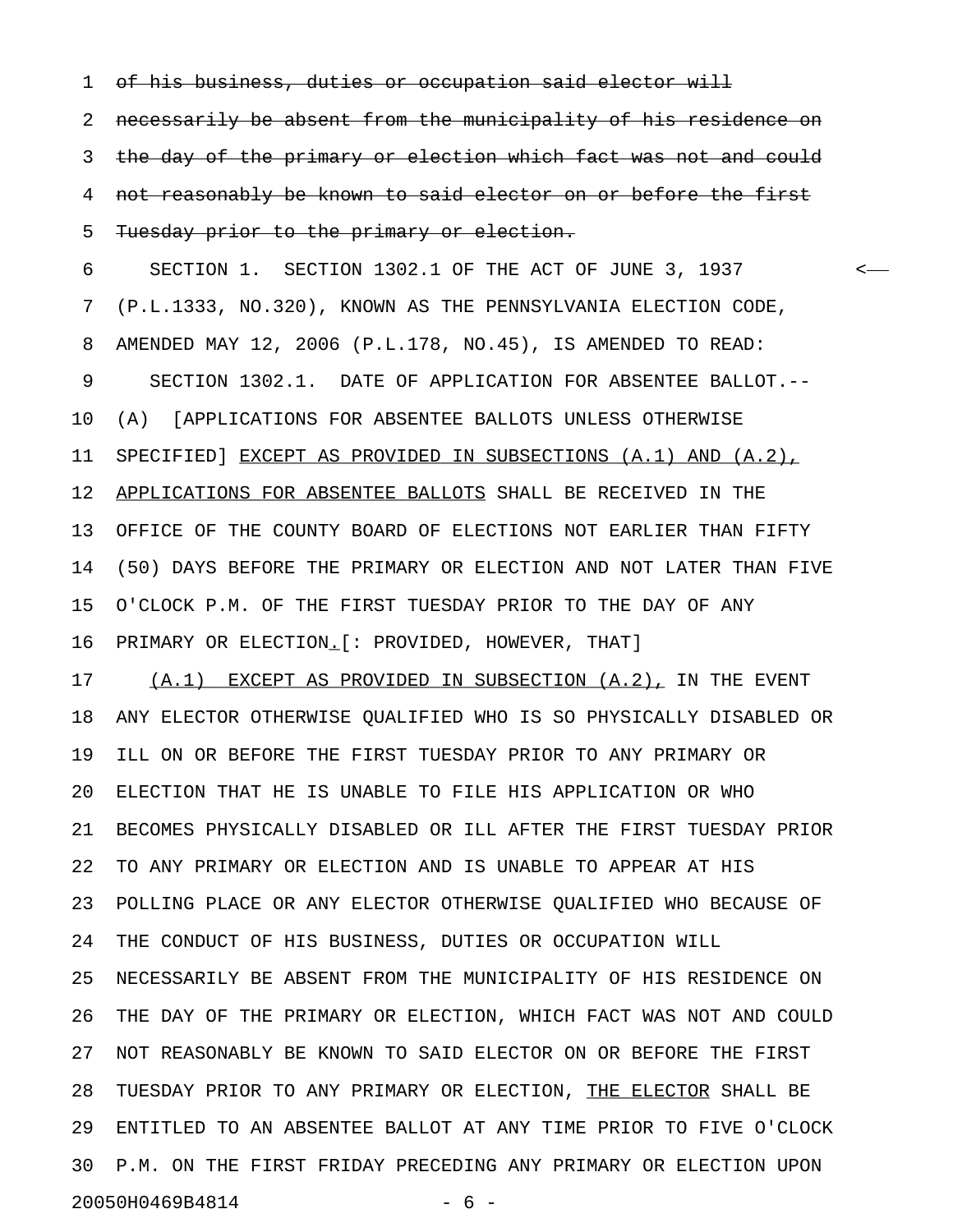1 of his business, duties or occupation said elector will

2 necessarily be absent from the municipality of his residence on 3 the day of the primary or election which fact was not and could 4 not reasonably be known to said elector on or before the first 5 Tuesday prior to the primary or election.

6 SECTION 1. SECTION 1302.1 OF THE ACT OF JUNE 3, 1937 < 7 (P.L.1333, NO.320), KNOWN AS THE PENNSYLVANIA ELECTION CODE, 8 AMENDED MAY 12, 2006 (P.L.178, NO.45), IS AMENDED TO READ: 9 SECTION 1302.1. DATE OF APPLICATION FOR ABSENTEE BALLOT.-- 10 (A) [APPLICATIONS FOR ABSENTEE BALLOTS UNLESS OTHERWISE 11 SPECIFIED] EXCEPT AS PROVIDED IN SUBSECTIONS (A.1) AND (A.2), 12 APPLICATIONS FOR ABSENTEE BALLOTS SHALL BE RECEIVED IN THE 13 OFFICE OF THE COUNTY BOARD OF ELECTIONS NOT EARLIER THAN FIFTY 14 (50) DAYS BEFORE THE PRIMARY OR ELECTION AND NOT LATER THAN FIVE 15 O'CLOCK P.M. OF THE FIRST TUESDAY PRIOR TO THE DAY OF ANY 16 PRIMARY OR ELECTION.[: PROVIDED, HOWEVER, THAT] \_

17 (A.1) EXCEPT AS PROVIDED IN SUBSECTION (A.2), IN THE EVENT 18 ANY ELECTOR OTHERWISE QUALIFIED WHO IS SO PHYSICALLY DISABLED OR 19 ILL ON OR BEFORE THE FIRST TUESDAY PRIOR TO ANY PRIMARY OR 20 ELECTION THAT HE IS UNABLE TO FILE HIS APPLICATION OR WHO 21 BECOMES PHYSICALLY DISABLED OR ILL AFTER THE FIRST TUESDAY PRIOR 22 TO ANY PRIMARY OR ELECTION AND IS UNABLE TO APPEAR AT HIS 23 POLLING PLACE OR ANY ELECTOR OTHERWISE QUALIFIED WHO BECAUSE OF 24 THE CONDUCT OF HIS BUSINESS, DUTIES OR OCCUPATION WILL 25 NECESSARILY BE ABSENT FROM THE MUNICIPALITY OF HIS RESIDENCE ON 26 THE DAY OF THE PRIMARY OR ELECTION, WHICH FACT WAS NOT AND COULD 27 NOT REASONABLY BE KNOWN TO SAID ELECTOR ON OR BEFORE THE FIRST 28 TUESDAY PRIOR TO ANY PRIMARY OR ELECTION, THE ELECTOR SHALL BE 29 ENTITLED TO AN ABSENTEE BALLOT AT ANY TIME PRIOR TO FIVE O'CLOCK 30 P.M. ON THE FIRST FRIDAY PRECEDING ANY PRIMARY OR ELECTION UPON 20050H0469B4814 - 6 -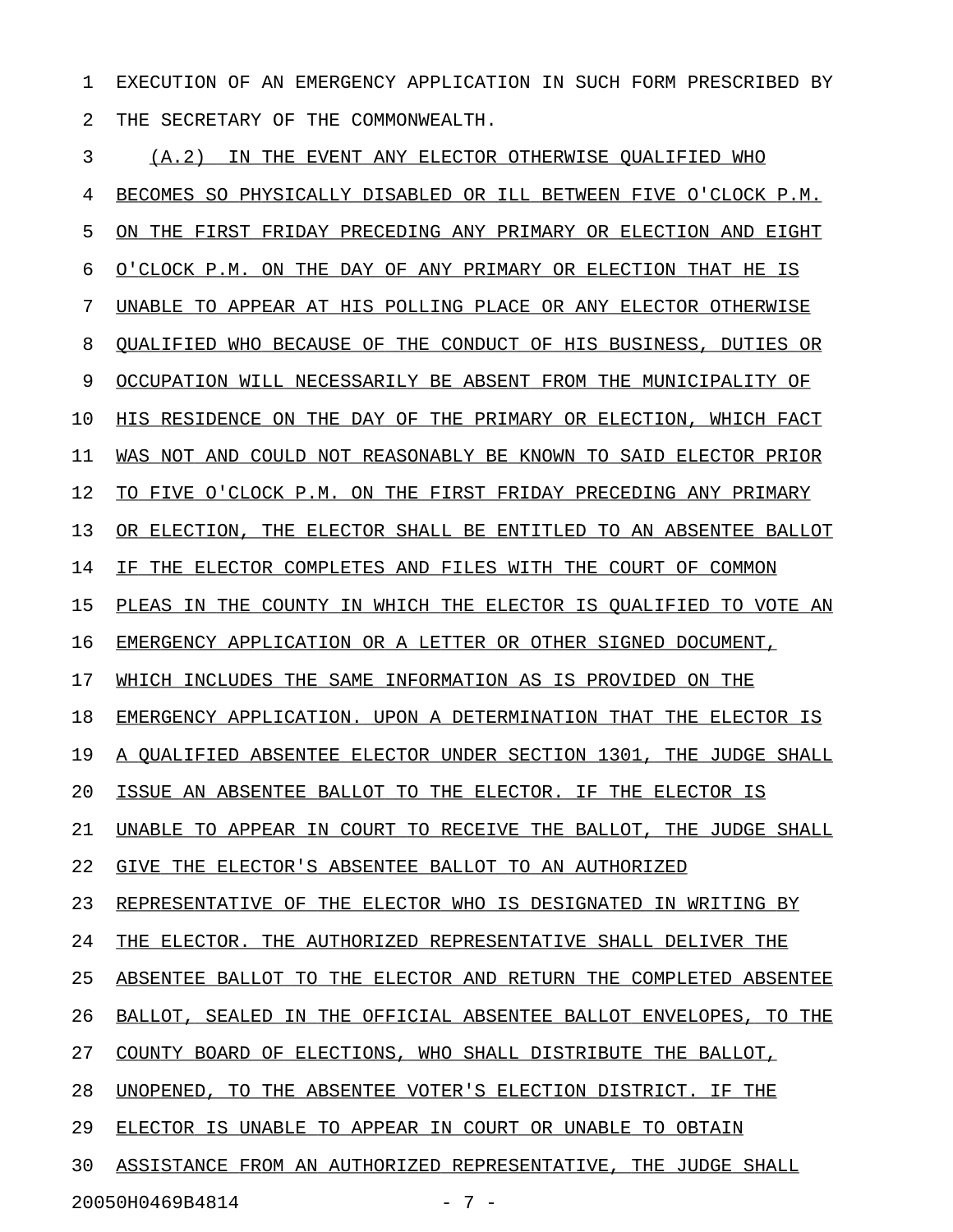1 EXECUTION OF AN EMERGENCY APPLICATION IN SUCH FORM PRESCRIBED BY 2 THE SECRETARY OF THE COMMONWEALTH.

3 (A.2) IN THE EVENT ANY ELECTOR OTHERWISE QUALIFIED WHO 4 BECOMES SO PHYSICALLY DISABLED OR ILL BETWEEN FIVE O'CLOCK P.M. 5 ON THE FIRST FRIDAY PRECEDING ANY PRIMARY OR ELECTION AND EIGHT 6 O'CLOCK P.M. ON THE DAY OF ANY PRIMARY OR ELECTION THAT HE IS 7 UNABLE TO APPEAR AT HIS POLLING PLACE OR ANY ELECTOR OTHERWISE 8 OUALIFIED WHO BECAUSE OF THE CONDUCT OF HIS BUSINESS, DUTIES OR 9 OCCUPATION WILL NECESSARILY BE ABSENT FROM THE MUNICIPALITY OF 10 HIS RESIDENCE ON THE DAY OF THE PRIMARY OR ELECTION, WHICH FACT 11 WAS NOT AND COULD NOT REASONABLY BE KNOWN TO SAID ELECTOR PRIOR 12 TO FIVE O'CLOCK P.M. ON THE FIRST FRIDAY PRECEDING ANY PRIMARY 13 OR ELECTION, THE ELECTOR SHALL BE ENTITLED TO AN ABSENTEE BALLOT 14 IF THE ELECTOR COMPLETES AND FILES WITH THE COURT OF COMMON 15 PLEAS IN THE COUNTY IN WHICH THE ELECTOR IS QUALIFIED TO VOTE AN 16 EMERGENCY APPLICATION OR A LETTER OR OTHER SIGNED DOCUMENT, 17 WHICH INCLUDES THE SAME INFORMATION AS IS PROVIDED ON THE 18 EMERGENCY APPLICATION. UPON A DETERMINATION THAT THE ELECTOR IS 19 A QUALIFIED ABSENTEE ELECTOR UNDER SECTION 1301, THE JUDGE SHALL 20 ISSUE AN ABSENTEE BALLOT TO THE ELECTOR. IF THE ELECTOR IS 21 UNABLE TO APPEAR IN COURT TO RECEIVE THE BALLOT, THE JUDGE SHALL 22 GIVE THE ELECTOR'S ABSENTEE BALLOT TO AN AUTHORIZED 23 REPRESENTATIVE OF THE ELECTOR WHO IS DESIGNATED IN WRITING BY 24 THE ELECTOR. THE AUTHORIZED REPRESENTATIVE SHALL DELIVER THE 25 ABSENTEE BALLOT TO THE ELECTOR AND RETURN THE COMPLETED ABSENTEE 26 BALLOT, SEALED IN THE OFFICIAL ABSENTEE BALLOT ENVELOPES, TO THE 27 COUNTY BOARD OF ELECTIONS, WHO SHALL DISTRIBUTE THE BALLOT, 28 UNOPENED, TO THE ABSENTEE VOTER'S ELECTION DISTRICT. IF THE 29 ELECTOR IS UNABLE TO APPEAR IN COURT OR UNABLE TO OBTAIN 30 ASSISTANCE FROM AN AUTHORIZED REPRESENTATIVE, THE JUDGE SHALL 20050H0469B4814 - 7 -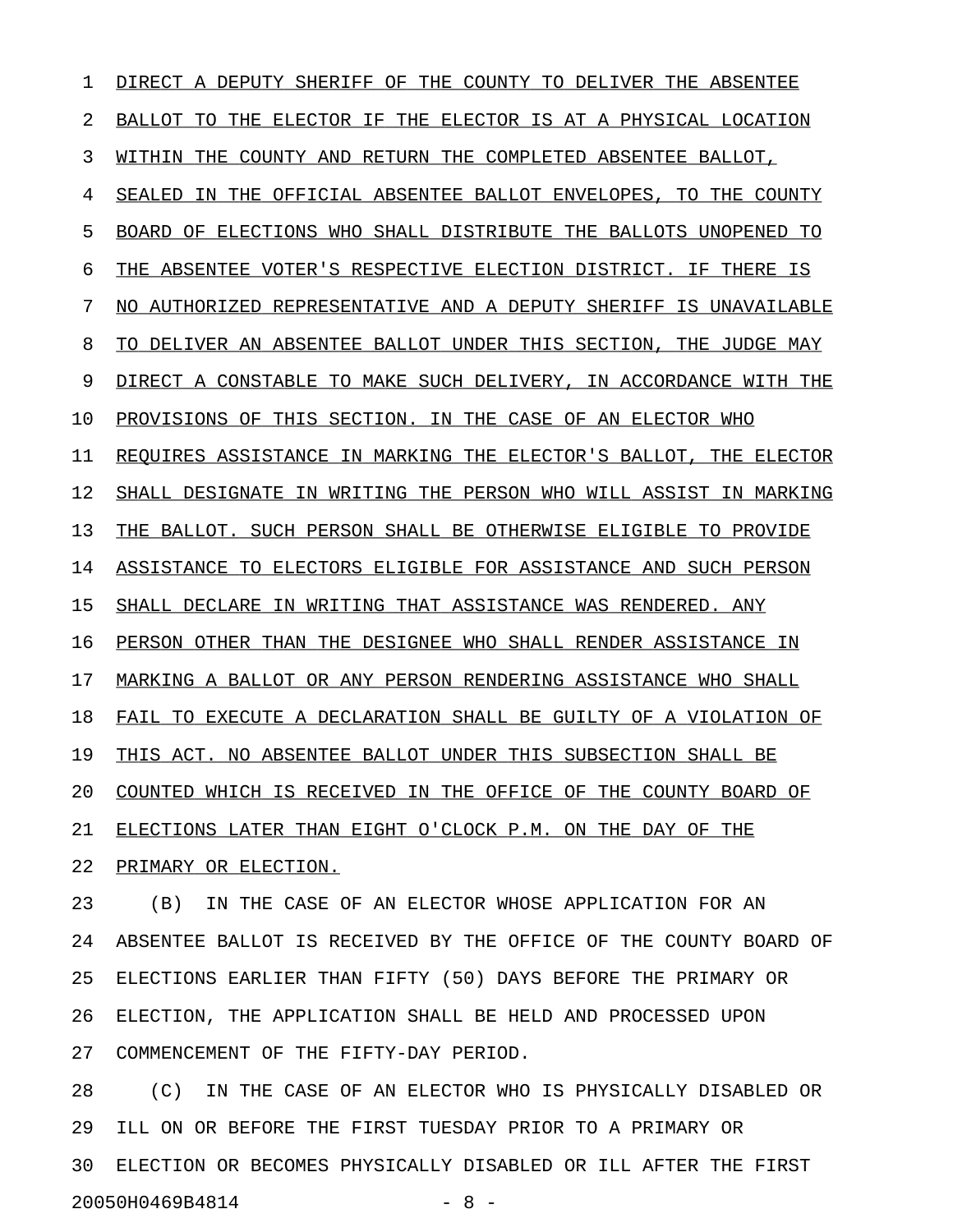1 DIRECT A DEPUTY SHERIFF OF THE COUNTY TO DELIVER THE ABSENTEE 2 BALLOT TO THE ELECTOR IF THE ELECTOR IS AT A PHYSICAL LOCATION 3 WITHIN THE COUNTY AND RETURN THE COMPLETED ABSENTEE BALLOT, 4 SEALED IN THE OFFICIAL ABSENTEE BALLOT ENVELOPES, TO THE COUNTY 5 BOARD OF ELECTIONS WHO SHALL DISTRIBUTE THE BALLOTS UNOPENED TO 6 THE ABSENTEE VOTER'S RESPECTIVE ELECTION DISTRICT. IF THERE IS 7 NO AUTHORIZED REPRESENTATIVE AND A DEPUTY SHERIFF IS UNAVAILABLE 8 TO DELIVER AN ABSENTEE BALLOT UNDER THIS SECTION, THE JUDGE MAY 9 DIRECT A CONSTABLE TO MAKE SUCH DELIVERY, IN ACCORDANCE WITH THE 10 PROVISIONS OF THIS SECTION. IN THE CASE OF AN ELECTOR WHO 11 REQUIRES ASSISTANCE IN MARKING THE ELECTOR'S BALLOT, THE ELECTOR 12 SHALL DESIGNATE IN WRITING THE PERSON WHO WILL ASSIST IN MARKING 13 THE BALLOT. SUCH PERSON SHALL BE OTHERWISE ELIGIBLE TO PROVIDE 14 ASSISTANCE TO ELECTORS ELIGIBLE FOR ASSISTANCE AND SUCH PERSON 15 SHALL DECLARE IN WRITING THAT ASSISTANCE WAS RENDERED. ANY 16 PERSON OTHER THAN THE DESIGNEE WHO SHALL RENDER ASSISTANCE IN 17 MARKING A BALLOT OR ANY PERSON RENDERING ASSISTANCE WHO SHALL 18 FAIL TO EXECUTE A DECLARATION SHALL BE GUILTY OF A VIOLATION OF 19 THIS ACT. NO ABSENTEE BALLOT UNDER THIS SUBSECTION SHALL BE 20 COUNTED WHICH IS RECEIVED IN THE OFFICE OF THE COUNTY BOARD OF 21 ELECTIONS LATER THAN EIGHT O'CLOCK P.M. ON THE DAY OF THE 22 PRIMARY OR ELECTION.

23 (B) IN THE CASE OF AN ELECTOR WHOSE APPLICATION FOR AN 24 ABSENTEE BALLOT IS RECEIVED BY THE OFFICE OF THE COUNTY BOARD OF 25 ELECTIONS EARLIER THAN FIFTY (50) DAYS BEFORE THE PRIMARY OR 26 ELECTION, THE APPLICATION SHALL BE HELD AND PROCESSED UPON 27 COMMENCEMENT OF THE FIFTY-DAY PERIOD.

28 (C) IN THE CASE OF AN ELECTOR WHO IS PHYSICALLY DISABLED OR 29 ILL ON OR BEFORE THE FIRST TUESDAY PRIOR TO A PRIMARY OR 30 ELECTION OR BECOMES PHYSICALLY DISABLED OR ILL AFTER THE FIRST 20050H0469B4814 - 8 -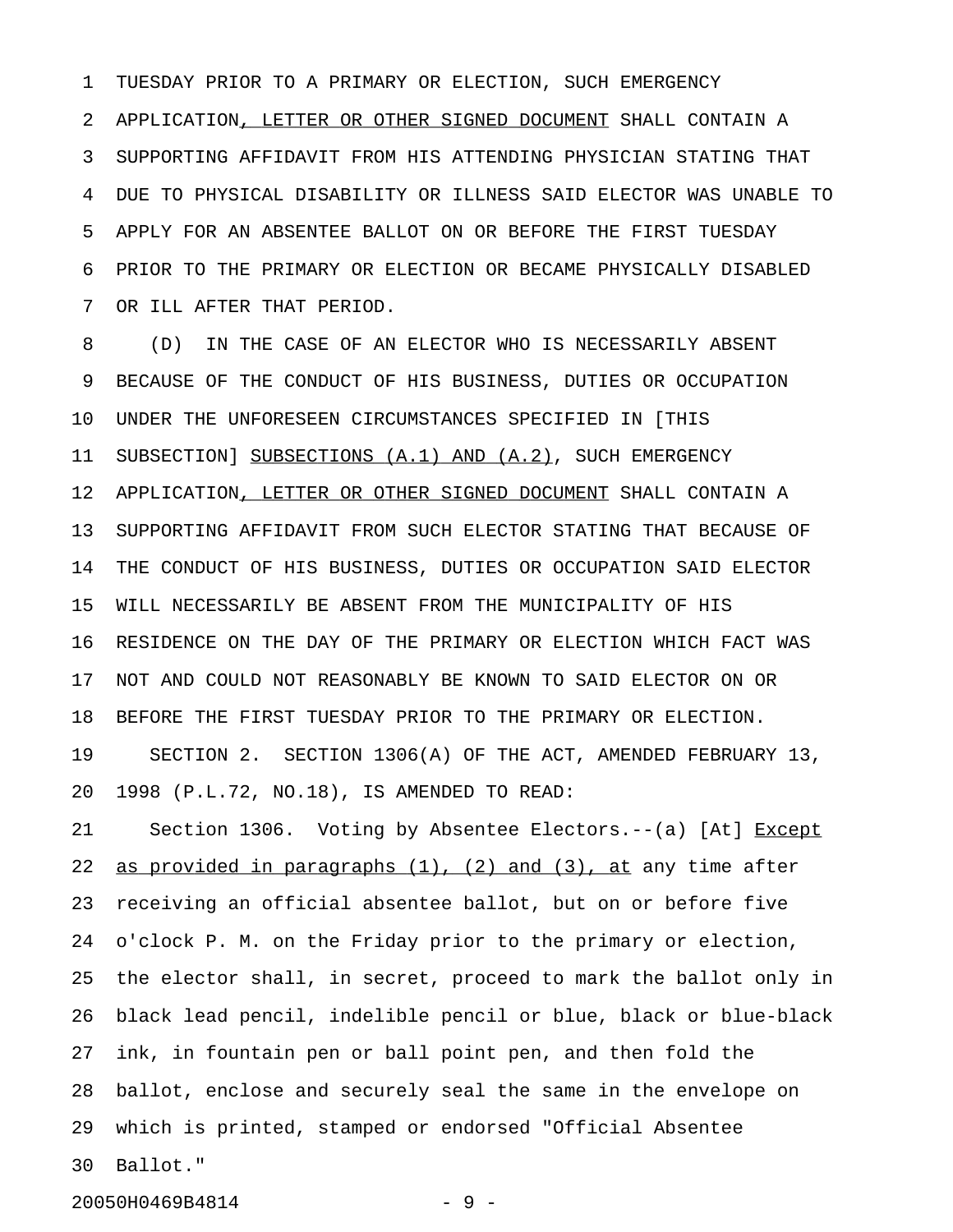1 TUESDAY PRIOR TO A PRIMARY OR ELECTION, SUCH EMERGENCY 2 APPLICATION, LETTER OR OTHER SIGNED DOCUMENT SHALL CONTAIN A 3 SUPPORTING AFFIDAVIT FROM HIS ATTENDING PHYSICIAN STATING THAT 4 DUE TO PHYSICAL DISABILITY OR ILLNESS SAID ELECTOR WAS UNABLE TO 5 APPLY FOR AN ABSENTEE BALLOT ON OR BEFORE THE FIRST TUESDAY 6 PRIOR TO THE PRIMARY OR ELECTION OR BECAME PHYSICALLY DISABLED 7 OR ILL AFTER THAT PERIOD.

8 (D) IN THE CASE OF AN ELECTOR WHO IS NECESSARILY ABSENT 9 BECAUSE OF THE CONDUCT OF HIS BUSINESS, DUTIES OR OCCUPATION 10 UNDER THE UNFORESEEN CIRCUMSTANCES SPECIFIED IN [THIS 11 SUBSECTION] SUBSECTIONS (A.1) AND (A.2), SUCH EMERGENCY 12 APPLICATION, LETTER OR OTHER SIGNED DOCUMENT SHALL CONTAIN A 13 SUPPORTING AFFIDAVIT FROM SUCH ELECTOR STATING THAT BECAUSE OF 14 THE CONDUCT OF HIS BUSINESS, DUTIES OR OCCUPATION SAID ELECTOR 15 WILL NECESSARILY BE ABSENT FROM THE MUNICIPALITY OF HIS 16 RESIDENCE ON THE DAY OF THE PRIMARY OR ELECTION WHICH FACT WAS 17 NOT AND COULD NOT REASONABLY BE KNOWN TO SAID ELECTOR ON OR 18 BEFORE THE FIRST TUESDAY PRIOR TO THE PRIMARY OR ELECTION. 19 SECTION 2. SECTION 1306(A) OF THE ACT, AMENDED FEBRUARY 13, 20 1998 (P.L.72, NO.18), IS AMENDED TO READ:

21 Section 1306. Voting by Absentee Electors.--(a) [At] Except 22 as provided in paragraphs  $(1)$ ,  $(2)$  and  $(3)$ , at any time after 23 receiving an official absentee ballot, but on or before five 24 o'clock P. M. on the Friday prior to the primary or election, 25 the elector shall, in secret, proceed to mark the ballot only in 26 black lead pencil, indelible pencil or blue, black or blue-black 27 ink, in fountain pen or ball point pen, and then fold the 28 ballot, enclose and securely seal the same in the envelope on 29 which is printed, stamped or endorsed "Official Absentee 30 Ballot."

20050H0469B4814 - 9 -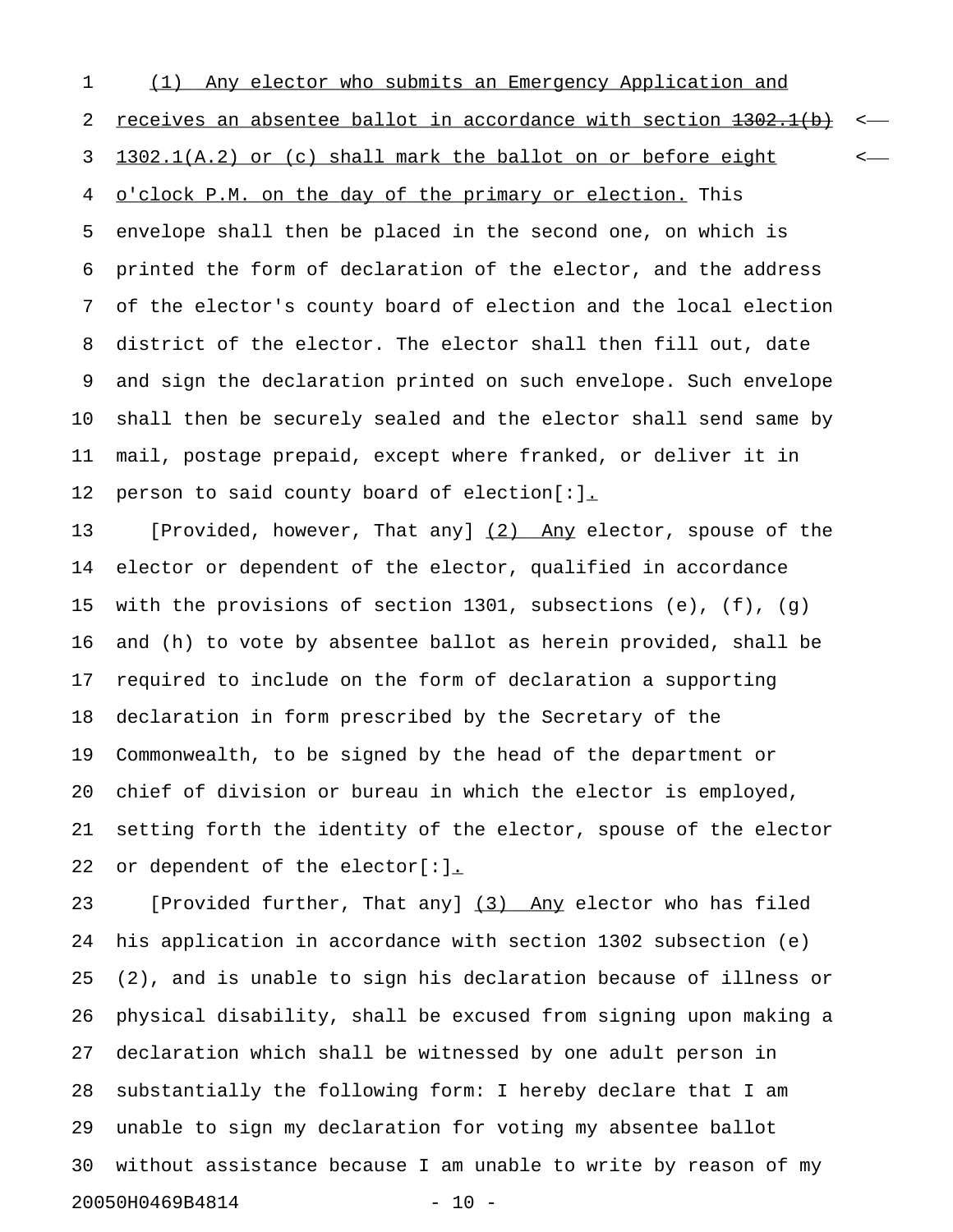1 (1) Any elector who submits an Emergency Application and 2 receives an absentee ballot in accordance with section  $1302.1(b)$  <-3 1302.1(A.2) or (c) shall mark the ballot on or before eight  $\leftarrow$ 4 o'clock P.M. on the day of the primary or election. This 5 envelope shall then be placed in the second one, on which is 6 printed the form of declaration of the elector, and the address 7 of the elector's county board of election and the local election 8 district of the elector. The elector shall then fill out, date 9 and sign the declaration printed on such envelope. Such envelope 10 shall then be securely sealed and the elector shall send same by 11 mail, postage prepaid, except where franked, or deliver it in 12 person to said county board of election[:].

13 [Provided, however, That any] (2) Any elector, spouse of the 14 elector or dependent of the elector, qualified in accordance 15 with the provisions of section 1301, subsections (e), (f), (g) 16 and (h) to vote by absentee ballot as herein provided, shall be 17 required to include on the form of declaration a supporting 18 declaration in form prescribed by the Secretary of the 19 Commonwealth, to be signed by the head of the department or 20 chief of division or bureau in which the elector is employed, 21 setting forth the identity of the elector, spouse of the elector 22 or dependent of the elector[:].

23 [Provided further, That any] (3) Any elector who has filed 24 his application in accordance with section 1302 subsection (e) 25 (2), and is unable to sign his declaration because of illness or 26 physical disability, shall be excused from signing upon making a 27 declaration which shall be witnessed by one adult person in 28 substantially the following form: I hereby declare that I am 29 unable to sign my declaration for voting my absentee ballot 30 without assistance because I am unable to write by reason of my 20050H0469B4814 - 10 -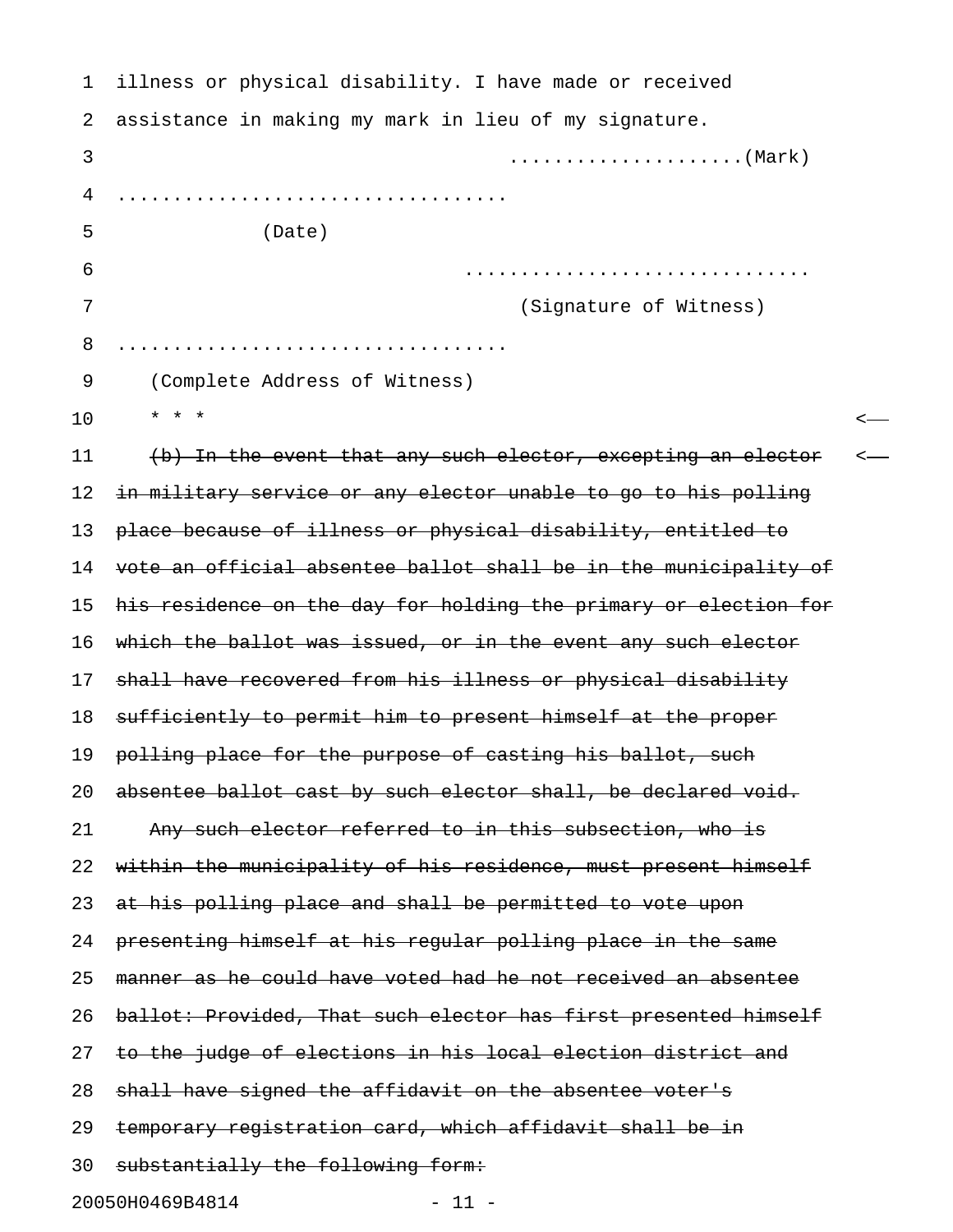| 1  | illness or physical disability. I have made or received          |  |
|----|------------------------------------------------------------------|--|
| 2  | assistance in making my mark in lieu of my signature.            |  |
| 3  |                                                                  |  |
| 4  |                                                                  |  |
| 5  | (Date)                                                           |  |
| 6  |                                                                  |  |
| 7  | (Signature of Witness)                                           |  |
| 8  |                                                                  |  |
| 9  | (Complete Address of Witness)                                    |  |
| 10 | $\star$ $\star$ $\star$                                          |  |
| 11 | (b) In the event that any such elector, excepting an elector     |  |
| 12 | in military service or any elector unable to go to his polling   |  |
| 13 | place because of illness or physical disability, entitled to     |  |
| 14 | vote an official absentee ballot shall be in the municipality of |  |
| 15 | his residence on the day for holding the primary or election for |  |
| 16 | which the ballot was issued, or in the event any such elector    |  |
| 17 | shall have recovered from his illness or physical disability     |  |
| 18 | sufficiently to permit him to present himself at the proper      |  |
| 19 | polling place for the purpose of casting his ballot, such        |  |
| 20 | absentee ballot cast by such elector shall, be declared void.    |  |
| 21 | Any such elector referred to in this subsection, who is          |  |
| 22 | within the municipality of his residence, must present himself   |  |
| 23 | at his polling place and shall be permitted to vote upon         |  |
| 24 | presenting himself at his regular polling place in the same      |  |
| 25 | manner as he could have voted had he not received an absentee    |  |
| 26 | ballot: Provided, That such elector has first presented himself  |  |
| 27 | to the judge of elections in his local election district and     |  |
| 28 | shall have signed the affidavit on the absentee voter's          |  |
| 29 | temporary registration card, which affidavit shall be in         |  |
| 30 | substantially the following form:                                |  |
|    | 20050H0469B4814<br>$-11 -$                                       |  |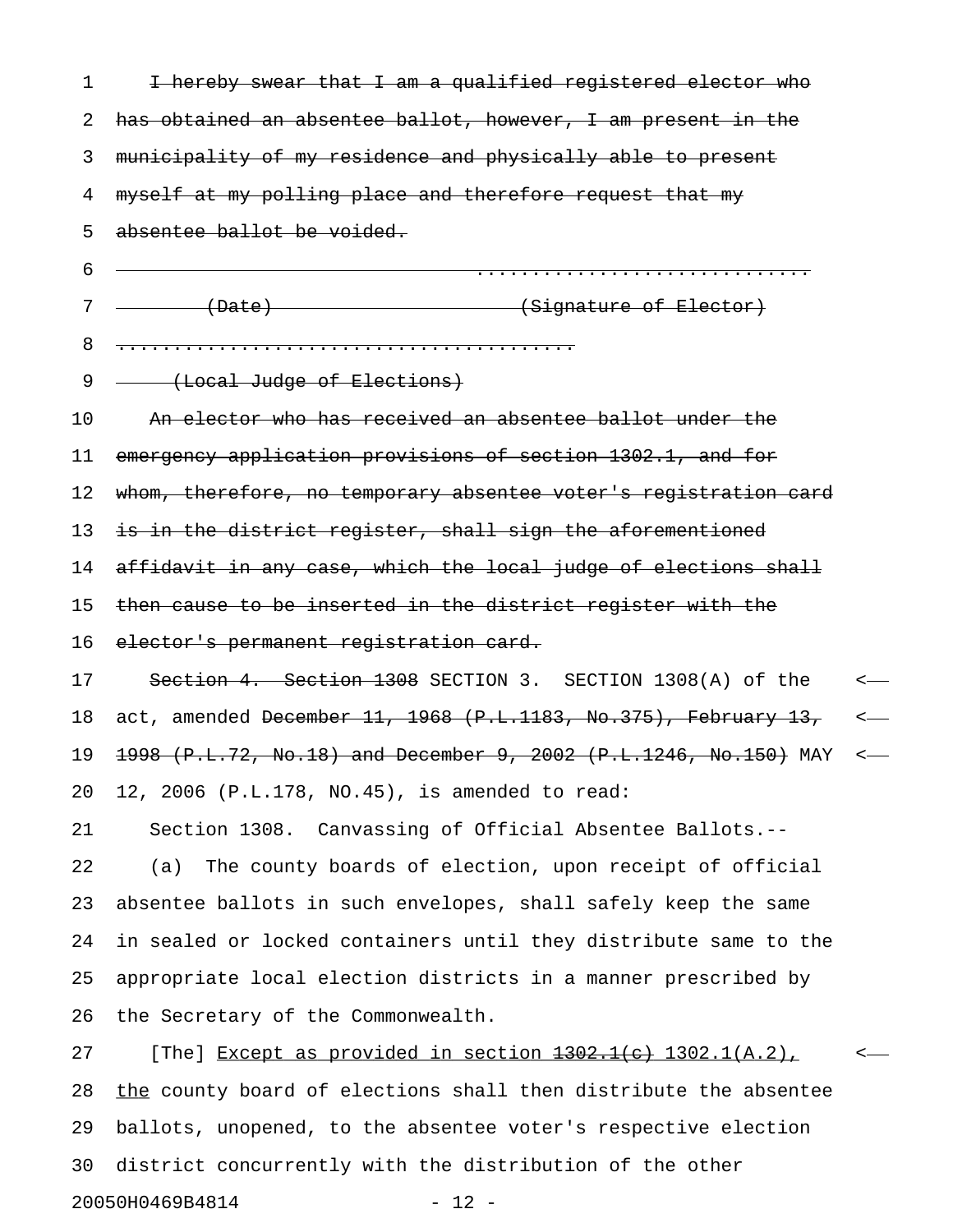| 1  | I hereby swear that I am a qualified registered elector who                |                  |
|----|----------------------------------------------------------------------------|------------------|
| 2  | has obtained an absentee ballot, however, I am present in the              |                  |
| 3  | municipality of my residence and physically able to present                |                  |
| 4  | myself at my polling place and therefore request that my                   |                  |
| 5  | absentee ballot be voided.                                                 |                  |
| 6  |                                                                            |                  |
| 7  | (Date)<br>(Signature of Elector)                                           |                  |
| 8  |                                                                            |                  |
| 9  | (Local Judge of Elections)                                                 |                  |
| 10 | An elector who has received an absentee ballot under the                   |                  |
| 11 | emergency application provisions of section 1302.1, and for                |                  |
| 12 | whom, therefore, no temporary absentee voter's registration card           |                  |
| 13 | is in the district register, shall sign the aforementioned                 |                  |
| 14 | affidavit in any case, which the local judge of elections shall            |                  |
| 15 | then cause to be inserted in the district register with the                |                  |
| 16 | elector's permanent registration card.                                     |                  |
| 17 | Section 4. Section 1308 SECTION 3. SECTION 1308(A) of the                  | $\longleftarrow$ |
| 18 | act, amended <del>December 11, 1968 (P.L.1183, No.375), February 13,</del> | $\longleftarrow$ |
| 19 | 1998 (P.L.72, No.18) and December 9, 2002 (P.L.1246, No.150) MAY           | $\longleftarrow$ |
| 20 | 12, 2006 (P.L.178, NO.45), is amended to read:                             |                  |
| 21 | Section 1308. Canvassing of Official Absentee Ballots.--                   |                  |
| 22 | The county boards of election, upon receipt of official<br>(a)             |                  |
| 23 | absentee ballots in such envelopes, shall safely keep the same             |                  |
| 24 | in sealed or locked containers until they distribute same to the           |                  |
| 25 | appropriate local election districts in a manner prescribed by             |                  |
| 26 | the Secretary of the Commonwealth.                                         |                  |
| 27 | [The] Except as provided in section <del>1302.1(c)</del> 1302.1(A.2),      |                  |
| 28 | the county board of elections shall then distribute the absentee           |                  |
| 29 | ballots, unopened, to the absentee voter's respective election             |                  |
| 30 | district concurrently with the distribution of the other                   |                  |

20050H0469B4814 - 12 -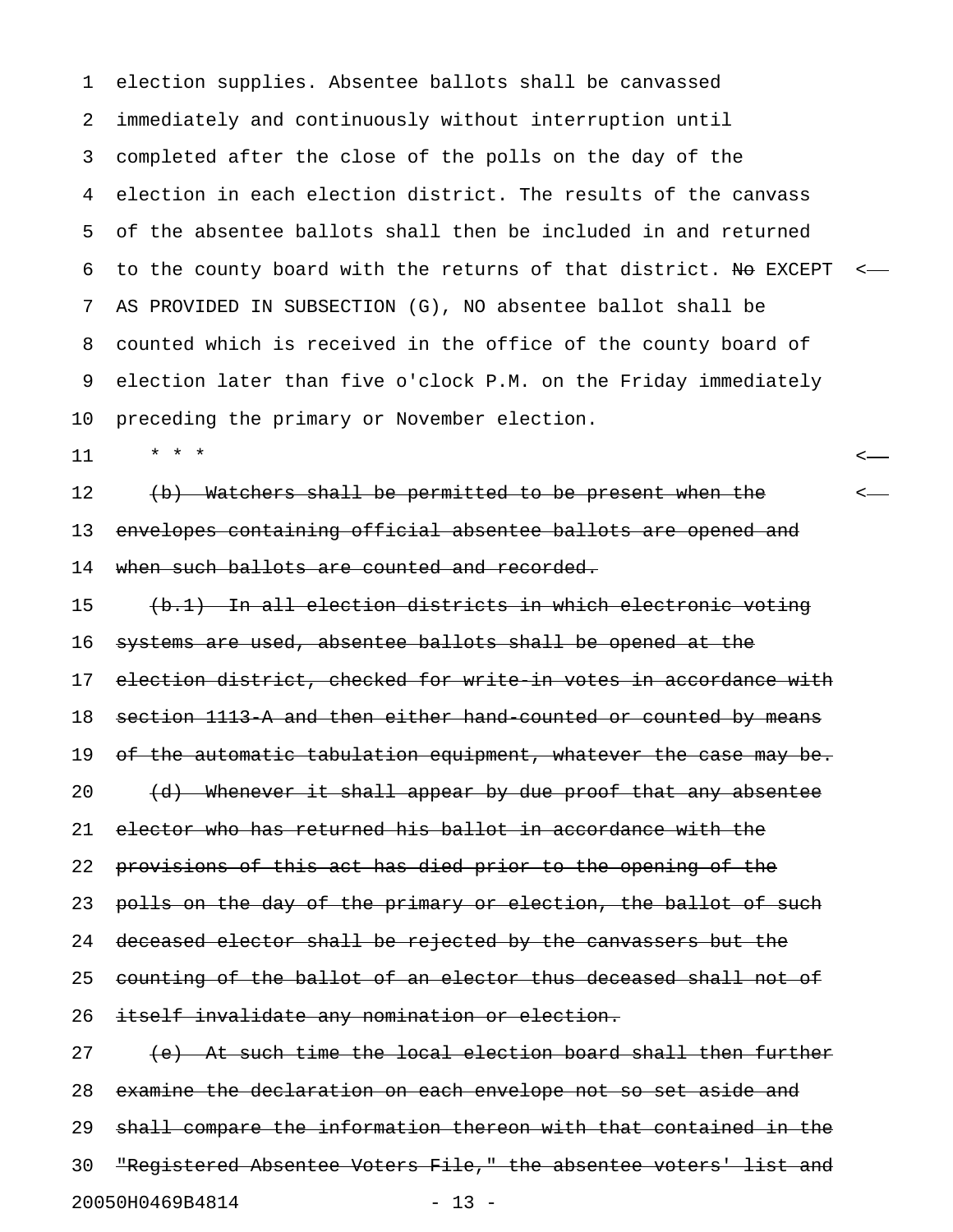1 election supplies. Absentee ballots shall be canvassed 2 immediately and continuously without interruption until 3 completed after the close of the polls on the day of the 4 election in each election district. The results of the canvass 5 of the absentee ballots shall then be included in and returned 6 to the county board with the returns of that district. No EXCEPT  $\leftarrow$ 7 AS PROVIDED IN SUBSECTION (G), NO absentee ballot shall be 8 counted which is received in the office of the county board of 9 election later than five o'clock P.M. on the Friday immediately 10 preceding the primary or November election.

11 \* \* \* <

12 (b) Watchers shall be permitted to be present when the  $\sim$ 13 envelopes containing official absentee ballots are opened and 14 when such ballots are counted and recorded.

15 (b.1) In all election districts in which electronic voting 16 systems are used, absentee ballots shall be opened at the 17 election district, checked for write in votes in accordance with 18 section 1113-A and then either hand-counted or counted by means 19 of the automatic tabulation equipment, whatever the case may be. 20 (d) Whenever it shall appear by due proof that any absentee 21 elector who has returned his ballot in accordance with the 22 provisions of this act has died prior to the opening of the 23 polls on the day of the primary or election, the ballot of such 24 deceased elector shall be rejected by the canvassers but the 25 counting of the ballot of an elector thus deceased shall not of 26 itself invalidate any nomination or election.

27 (e) At such time the local election board shall then further 28 examine the declaration on each envelope not so set aside and 29 shall compare the information thereon with that contained in the 30 "Registered Absentee Voters File," the absentee voters' list and 20050H0469B4814 - 13 -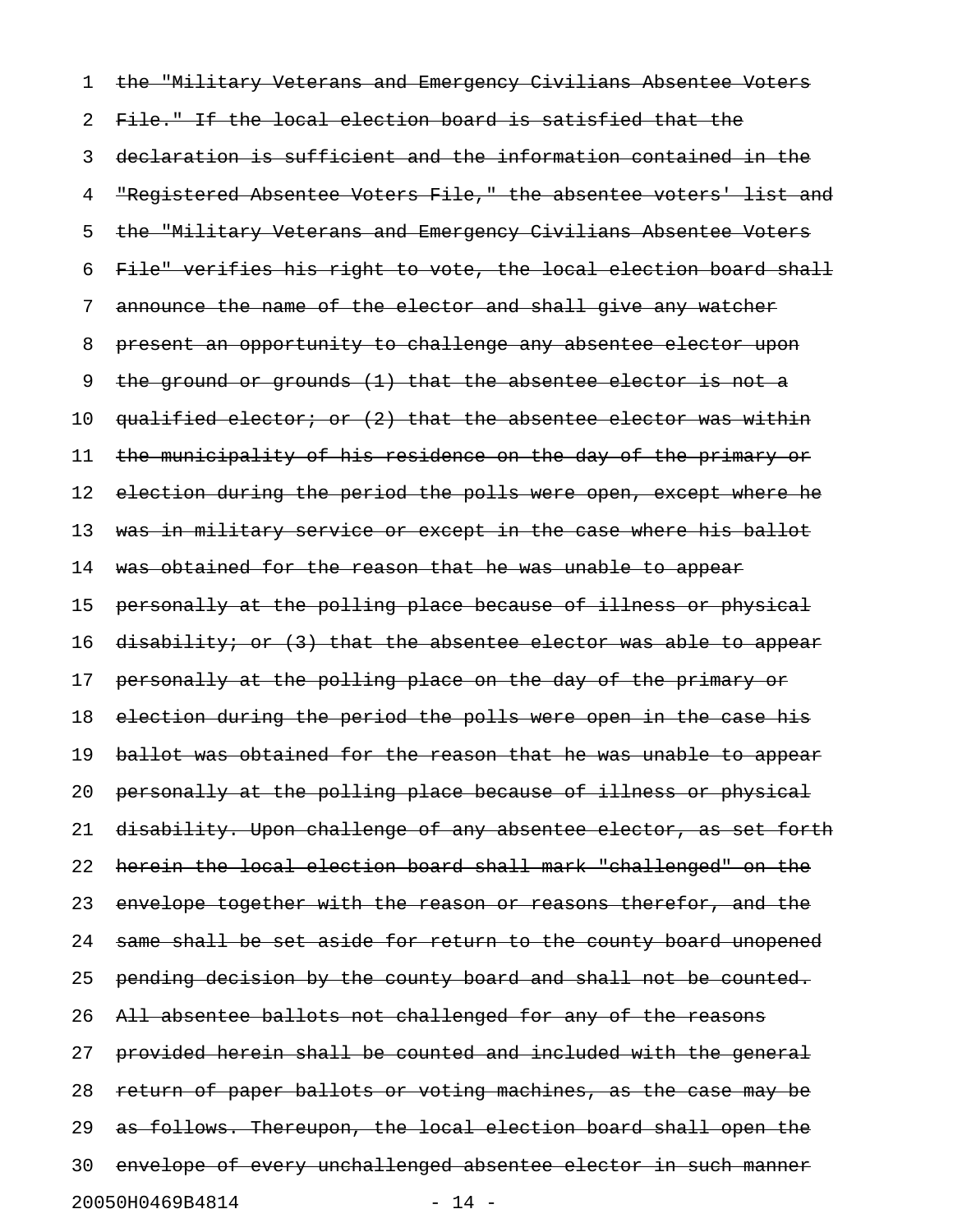1 the "Military Veterans and Emergency Civilians Absentee Voters 2 File." If the local election board is satisfied that the 3 declaration is sufficient and the information contained in the 4 "Registered Absentee Voters File," the absentee voters' list and 5 the "Military Veterans and Emergency Civilians Absentee Voters 6 File" verifies his right to vote, the local election board shall 7 announce the name of the elector and shall give any watcher 8 present an opportunity to challenge any absentee elector upon 9 the ground or grounds (1) that the absentee elector is not a 10 qualified elector; or (2) that the absentee elector was within 11 the municipality of his residence on the day of the primary or 12 election during the period the polls were open, except where he 13 was in military service or except in the case where his ballot 14 was obtained for the reason that he was unable to appear 15 personally at the polling place because of illness or physical 16 disability; or (3) that the absentee elector was able to appear 17 personally at the polling place on the day of the primary or 18 election during the period the polls were open in the case his 19 ballot was obtained for the reason that he was unable to appear 20 personally at the polling place because of illness or physical 21 disability. Upon challenge of any absentee elector, as set forth 22 herein the local election board shall mark "challenged" on the 23 envelope together with the reason or reasons therefor, and the 24 same shall be set aside for return to the county board unopened 25 pending decision by the county board and shall not be counted. 26 All absentee ballots not challenged for any of the reasons 27 provided herein shall be counted and included with the general 28 return of paper ballots or voting machines, as the case may be 29 as follows. Thereupon, the local election board shall open the 30 envelope of every unchallenged absentee elector in such manner 20050H0469B4814 - 14 -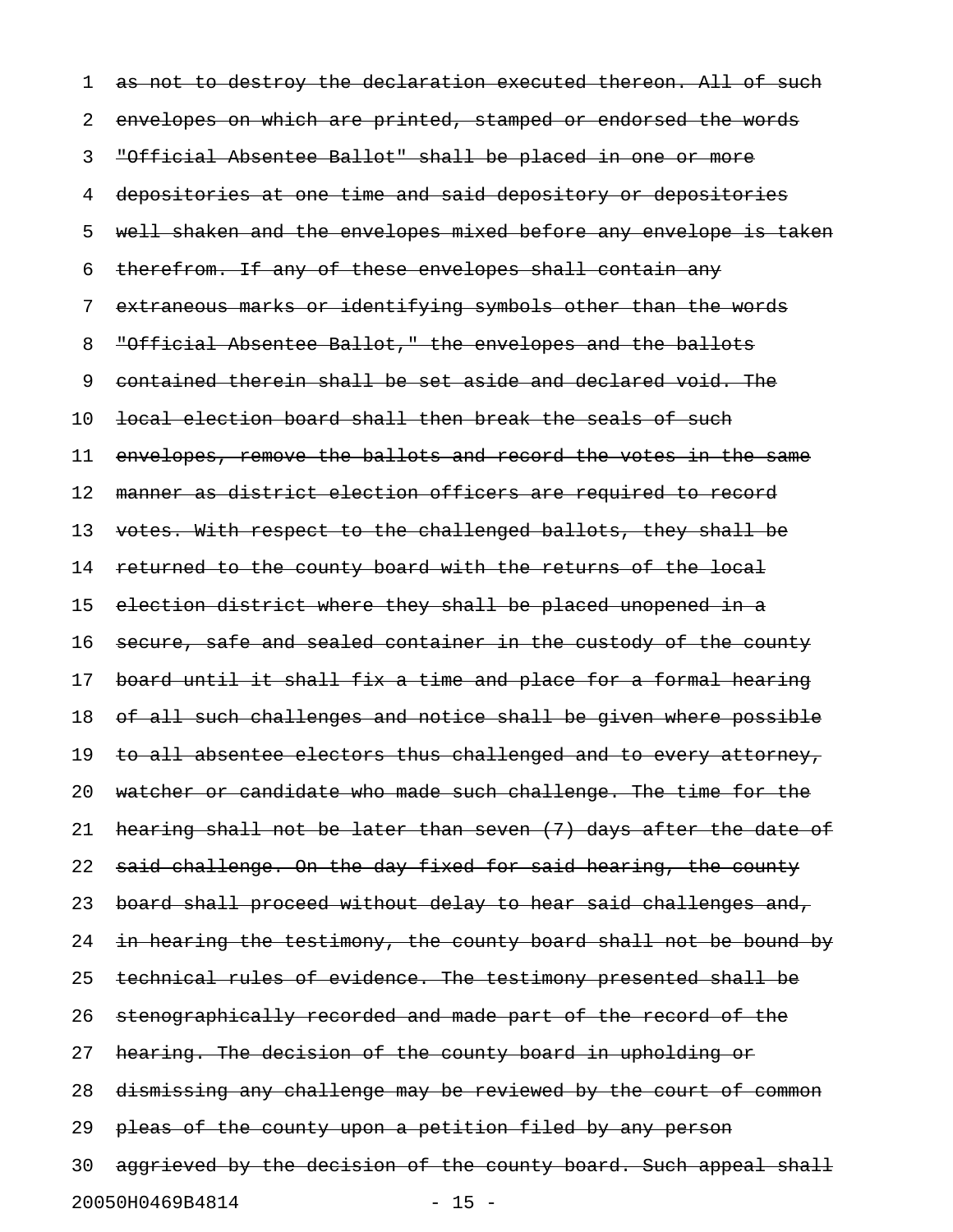1 as not to destroy the declaration executed thereon. All of such 2 envelopes on which are printed, stamped or endorsed the words 3 "Official Absentee Ballot" shall be placed in one or more 4 depositories at one time and said depository or depositories 5 well shaken and the envelopes mixed before any envelope is taken 6 therefrom. If any of these envelopes shall contain any 7 extraneous marks or identifying symbols other than the words 8 "Official Absentee Ballot," the envelopes and the ballots 9 contained therein shall be set aside and declared void. The 10 local election board shall then break the seals of such 11 envelopes, remove the ballots and record the votes in the same 12 manner as district election officers are required to record 13 votes. With respect to the challenged ballots, they shall be 14 returned to the county board with the returns of the local 15 election district where they shall be placed unopened in a 16 secure, safe and sealed container in the custody of the county 17 board until it shall fix a time and place for a formal hearing 18 of all such challenges and notice shall be given where possible 19 to all absentee electors thus challenged and to every attorney, 20 watcher or candidate who made such challenge. The time for the 21 hearing shall not be later than seven (7) days after the date of 22 said challenge. On the day fixed for said hearing, the county 23 board shall proceed without delay to hear said challenges and, 24 in hearing the testimony, the county board shall not be bound by 25 technical rules of evidence. The testimony presented shall be 26 stenographically recorded and made part of the record of the 27 hearing. The decision of the county board in upholding or 28 dismissing any challenge may be reviewed by the court of common 29 pleas of the county upon a petition filed by any person 30 aggrieved by the decision of the county board. Such appeal shall 20050H0469B4814 - 15 -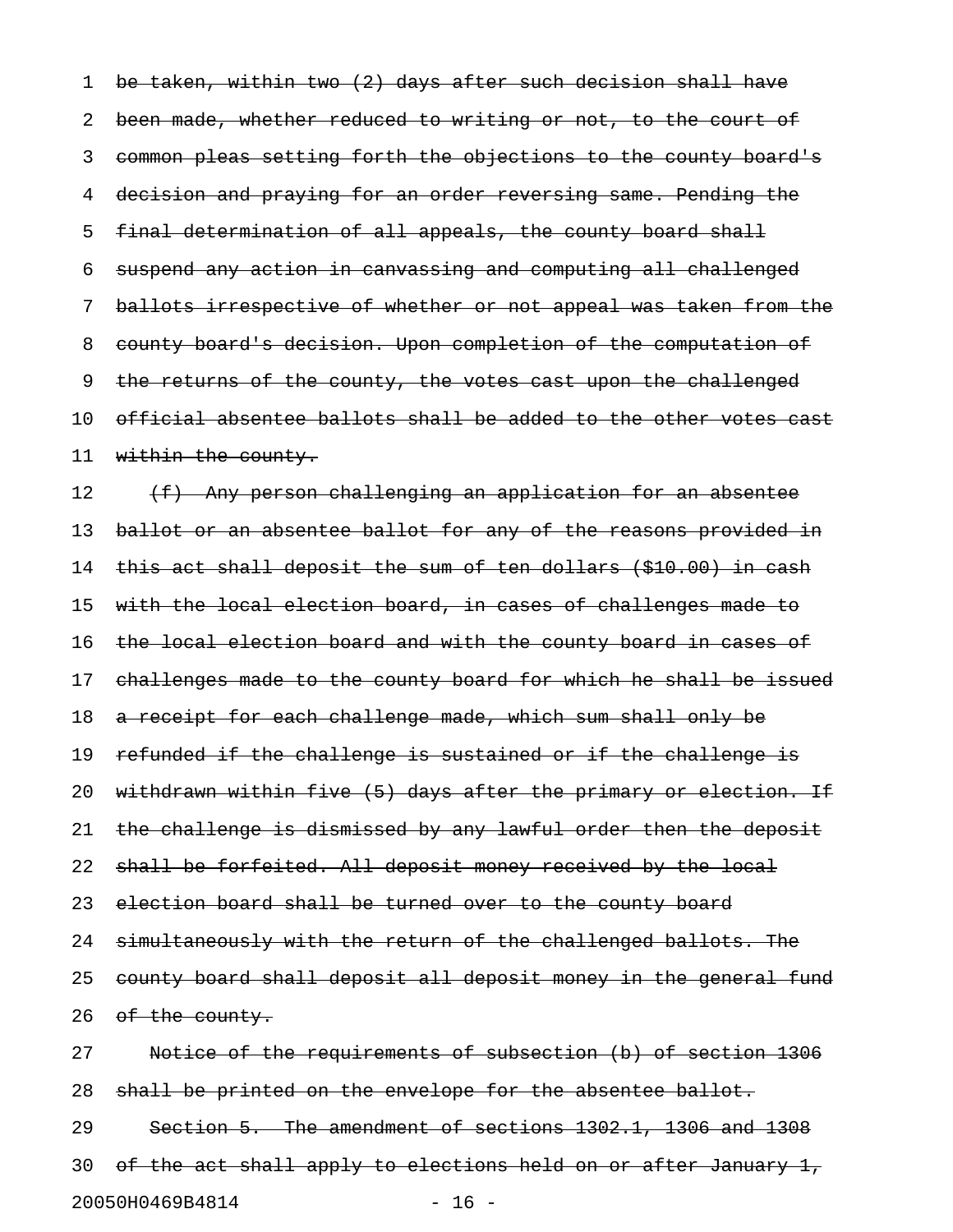1 be taken, within two (2) days after such decision shall have 2 been made, whether reduced to writing or not, to the court of 3 common pleas setting forth the objections to the county board's 4 decision and praying for an order reversing same. Pending the 5 final determination of all appeals, the county board shall 6 suspend any action in canvassing and computing all challenged 7 ballots irrespective of whether or not appeal was taken from the 8 county board's decision. Upon completion of the computation of 9 the returns of the county, the votes cast upon the challenged 10 official absentee ballots shall be added to the other votes cast 11 within the county.  $12$  (f) Any person challenging an application for an absentee 13 ballot or an absentee ballot for any of the reasons provided in 14 this act shall deposit the sum of ten dollars (\$10.00) in cash 15 with the local election board, in cases of challenges made to 16 the local election board and with the county board in cases of 17 challenges made to the county board for which he shall be issued 18 a receipt for each challenge made, which sum shall only be 19 refunded if the challenge is sustained or if the challenge is 20 withdrawn within five (5) days after the primary or election. If 21 the challenge is dismissed by any lawful order then the deposit 22 shall be forfeited. All deposit money received by the local 23 election board shall be turned over to the county board 24 simultaneously with the return of the challenged ballots. The 25 county board shall deposit all deposit money in the general fund 26 of the county. 27 Notice of the requirements of subsection (b) of section 1306 28 shall be printed on the envelope for the absentee ballot. 29 Section 5. The amendment of sections 1302.1, 1306 and 1308

30 of the act shall apply to elections held on or after January 1,

20050H0469B4814 - 16 -